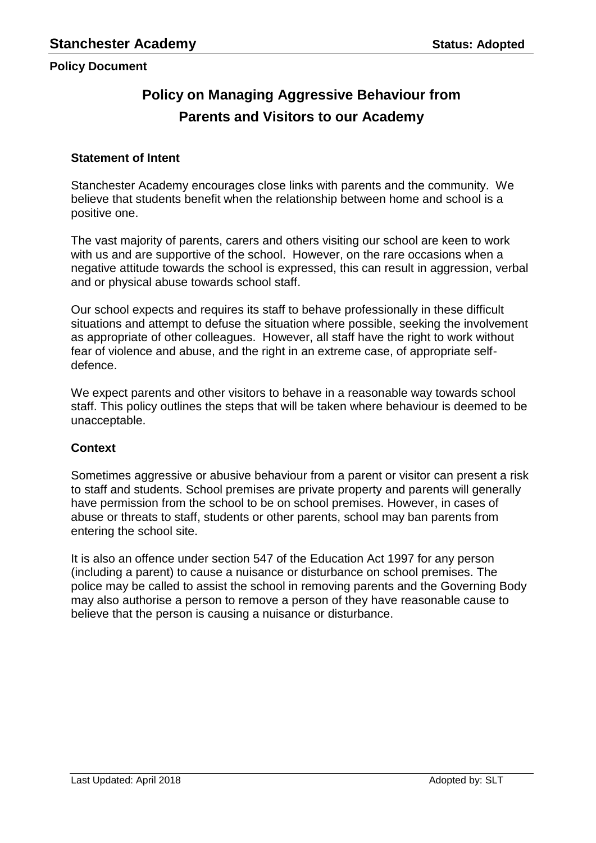# **Policy on Managing Aggressive Behaviour from Parents and Visitors to our Academy**

## **Statement of Intent**

Stanchester Academy encourages close links with parents and the community. We believe that students benefit when the relationship between home and school is a positive one.

The vast majority of parents, carers and others visiting our school are keen to work with us and are supportive of the school. However, on the rare occasions when a negative attitude towards the school is expressed, this can result in aggression, verbal and or physical abuse towards school staff.

Our school expects and requires its staff to behave professionally in these difficult situations and attempt to defuse the situation where possible, seeking the involvement as appropriate of other colleagues. However, all staff have the right to work without fear of violence and abuse, and the right in an extreme case, of appropriate selfdefence.

We expect parents and other visitors to behave in a reasonable way towards school staff. This policy outlines the steps that will be taken where behaviour is deemed to be unacceptable.

# **Context**

Sometimes aggressive or abusive behaviour from a parent or visitor can present a risk to staff and students. School premises are private property and parents will generally have permission from the school to be on school premises. However, in cases of abuse or threats to staff, students or other parents, school may ban parents from entering the school site.

It is also an offence under section 547 of the Education Act 1997 for any person (including a parent) to cause a nuisance or disturbance on school premises. The police may be called to assist the school in removing parents and the Governing Body may also authorise a person to remove a person of they have reasonable cause to believe that the person is causing a nuisance or disturbance.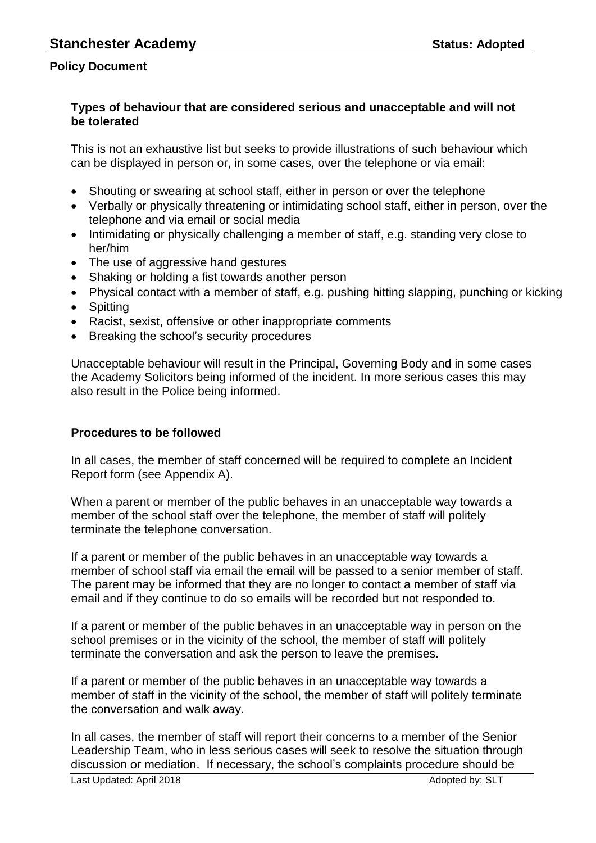## **Types of behaviour that are considered serious and unacceptable and will not be tolerated**

This is not an exhaustive list but seeks to provide illustrations of such behaviour which can be displayed in person or, in some cases, over the telephone or via email:

- Shouting or swearing at school staff, either in person or over the telephone
- Verbally or physically threatening or intimidating school staff, either in person, over the telephone and via email or social media
- Intimidating or physically challenging a member of staff, e.g. standing very close to her/him
- The use of aggressive hand gestures
- Shaking or holding a fist towards another person
- Physical contact with a member of staff, e.g. pushing hitting slapping, punching or kicking
- Spitting
- Racist, sexist, offensive or other inappropriate comments
- Breaking the school's security procedures

Unacceptable behaviour will result in the Principal, Governing Body and in some cases the Academy Solicitors being informed of the incident. In more serious cases this may also result in the Police being informed.

## **Procedures to be followed**

In all cases, the member of staff concerned will be required to complete an Incident Report form (see Appendix A).

When a parent or member of the public behaves in an unacceptable way towards a member of the school staff over the telephone, the member of staff will politely terminate the telephone conversation.

If a parent or member of the public behaves in an unacceptable way towards a member of school staff via email the email will be passed to a senior member of staff. The parent may be informed that they are no longer to contact a member of staff via email and if they continue to do so emails will be recorded but not responded to.

If a parent or member of the public behaves in an unacceptable way in person on the school premises or in the vicinity of the school, the member of staff will politely terminate the conversation and ask the person to leave the premises.

If a parent or member of the public behaves in an unacceptable way towards a member of staff in the vicinity of the school, the member of staff will politely terminate the conversation and walk away.

In all cases, the member of staff will report their concerns to a member of the Senior Leadership Team, who in less serious cases will seek to resolve the situation through discussion or mediation. If necessary, the school's complaints procedure should be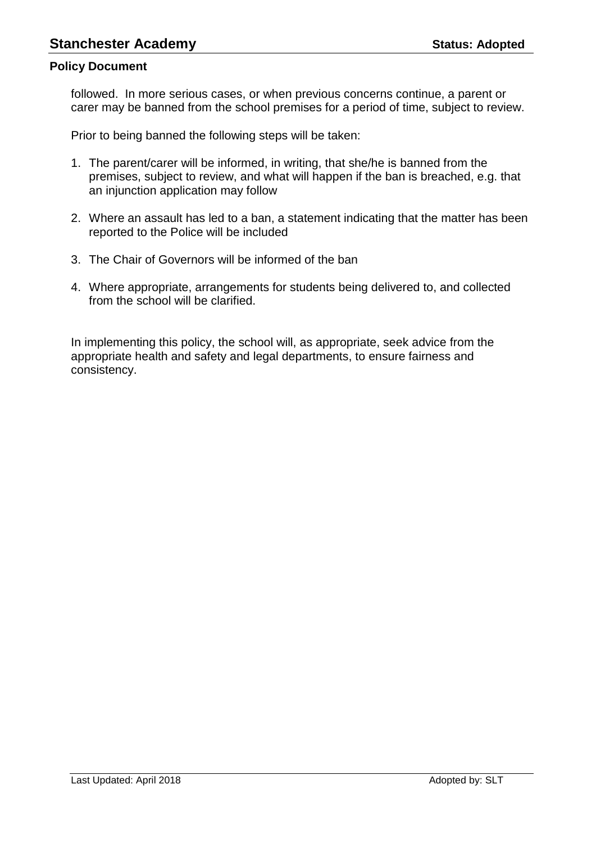followed. In more serious cases, or when previous concerns continue, a parent or carer may be banned from the school premises for a period of time, subject to review.

Prior to being banned the following steps will be taken:

- 1. The parent/carer will be informed, in writing, that she/he is banned from the premises, subject to review, and what will happen if the ban is breached, e.g. that an injunction application may follow
- 2. Where an assault has led to a ban, a statement indicating that the matter has been reported to the Police will be included
- 3. The Chair of Governors will be informed of the ban
- 4. Where appropriate, arrangements for students being delivered to, and collected from the school will be clarified.

In implementing this policy, the school will, as appropriate, seek advice from the appropriate health and safety and legal departments, to ensure fairness and consistency.